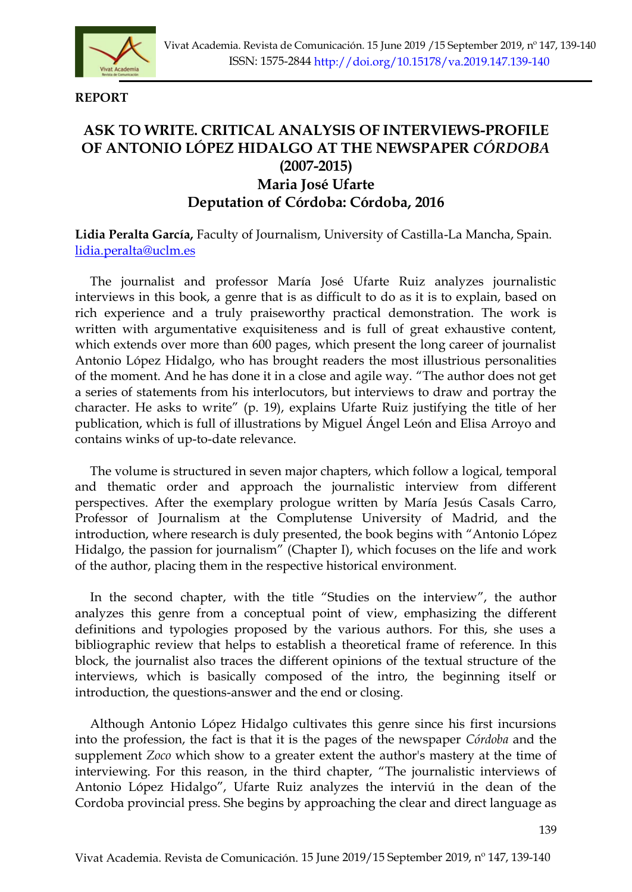

**REPORT** 

## **ASK TO WRITE. CRITICAL ANALYSIS OF INTERVIEWS-PROFILE OF ANTONIO LÓPEZ HIDALGO AT THE NEWSPAPER** *CÓRDOBA* **(2007-2015) Maria José Ufarte Deputation of Córdoba: Córdoba, 2016**

**Lidia Peralta García,** Faculty of Journalism, University of Castilla-La Mancha, Spain. [lidia.peralta@uclm.es](../Downloads/lidia.peralta@uclm.es)

The journalist and professor María José Ufarte Ruiz analyzes journalistic interviews in this book, a genre that is as difficult to do as it is to explain, based on rich experience and a truly praiseworthy practical demonstration. The work is written with argumentative exquisiteness and is full of great exhaustive content, which extends over more than 600 pages, which present the long career of journalist Antonio López Hidalgo, who has brought readers the most illustrious personalities of the moment. And he has done it in a close and agile way. "The author does not get a series of statements from his interlocutors, but interviews to draw and portray the character. He asks to write" (p. 19), explains Ufarte Ruiz justifying the title of her publication, which is full of illustrations by Miguel Ángel León and Elisa Arroyo and contains winks of up-to-date relevance.

The volume is structured in seven major chapters, which follow a logical, temporal and thematic order and approach the journalistic interview from different perspectives. After the exemplary prologue written by María Jesús Casals Carro, Professor of Journalism at the Complutense University of Madrid, and the introduction, where research is duly presented, the book begins with "Antonio López Hidalgo, the passion for journalism" (Chapter I), which focuses on the life and work of the author, placing them in the respective historical environment.

In the second chapter, with the title "Studies on the interview", the author analyzes this genre from a conceptual point of view, emphasizing the different definitions and typologies proposed by the various authors. For this, she uses a bibliographic review that helps to establish a theoretical frame of reference. In this block, the journalist also traces the different opinions of the textual structure of the interviews, which is basically composed of the intro, the beginning itself or introduction, the questions-answer and the end or closing.

Although Antonio López Hidalgo cultivates this genre since his first incursions into the profession, the fact is that it is the pages of the newspaper *Córdoba* and the supplement *Zoco* which show to a greater extent the author's mastery at the time of interviewing. For this reason, in the third chapter, "The journalistic interviews of Antonio López Hidalgo", Ufarte Ruiz analyzes the interviú in the dean of the Cordoba provincial press. She begins by approaching the clear and direct language as